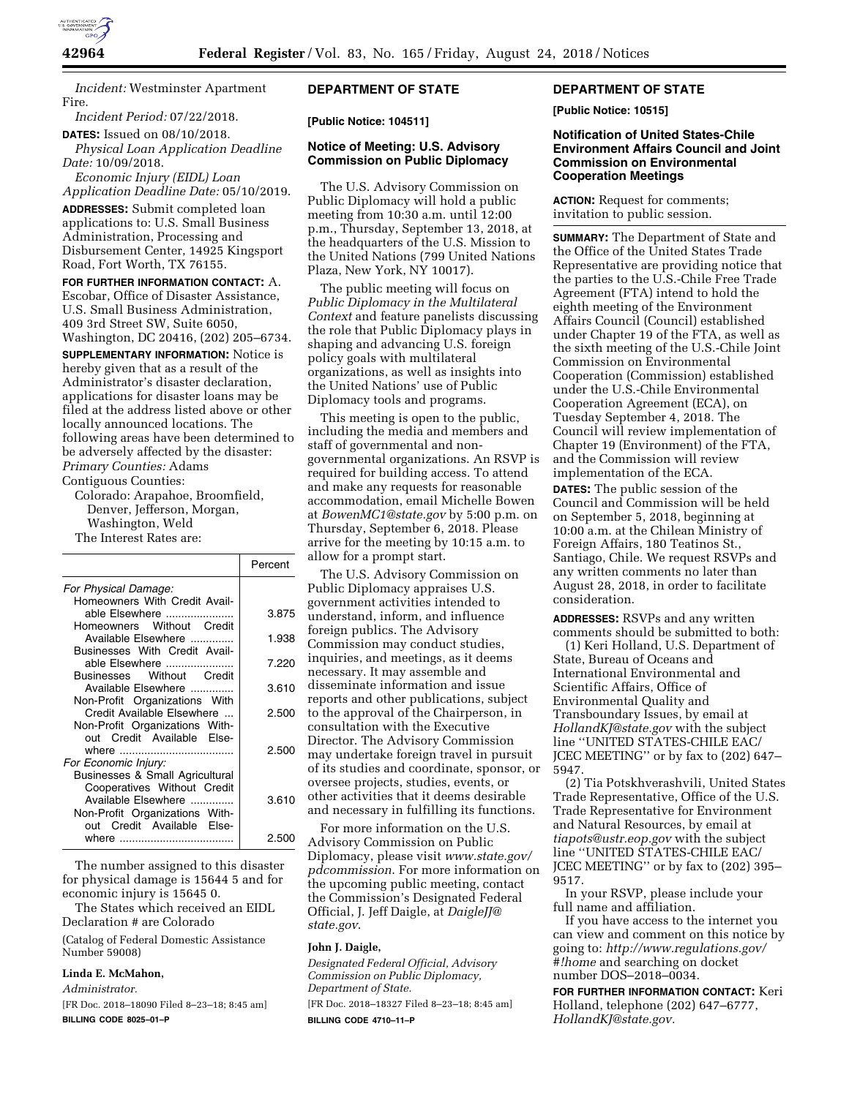

*Incident:* Westminster Apartment Fire.

*Incident Period:* 07/22/2018.

**DATES:** Issued on 08/10/2018.

*Physical Loan Application Deadline Date:* 10/09/2018. *Economic Injury (EIDL) Loan* 

*Application Deadline Date:* 05/10/2019. **ADDRESSES:** Submit completed loan applications to: U.S. Small Business Administration, Processing and Disbursement Center, 14925 Kingsport Road, Fort Worth, TX 76155.

**FOR FURTHER INFORMATION CONTACT:** A. Escobar, Office of Disaster Assistance, U.S. Small Business Administration, 409 3rd Street SW, Suite 6050, Washington, DC 20416, (202) 205–6734.

**SUPPLEMENTARY INFORMATION:** Notice is hereby given that as a result of the Administrator's disaster declaration, applications for disaster loans may be filed at the address listed above or other locally announced locations. The following areas have been determined to be adversely affected by the disaster: *Primary Counties:* Adams

Contiguous Counties:

Colorado: Arapahoe, Broomfield, Denver, Jefferson, Morgan, Washington, Weld The Interest Rates are:

|                                 | Percent |
|---------------------------------|---------|
| For Physical Damage:            |         |
| Homeowners With Credit Avail-   |         |
| able Elsewhere                  | 3.875   |
| Homeowners Without Credit       |         |
| Available Elsewhere             | 1.938   |
| Businesses With Credit Avail-   |         |
| able Elsewhere                  | 7.220   |
| Businesses Without Credit       |         |
| Available Elsewhere             | 3.610   |
| Non-Profit Organizations With   |         |
| Credit Available Elsewhere      | 2.500   |
| Non-Profit Organizations With-  |         |
| out Credit Available Else-      |         |
|                                 | 2.500   |
| For Economic Injury:            |         |
| Businesses & Small Agricultural |         |
| Cooperatives Without Credit     |         |
| Available Elsewhere             | 3.610   |
| Non-Profit Organizations With-  |         |
| out Credit Available Else-      |         |
|                                 | 2.500   |
|                                 |         |

The number assigned to this disaster for physical damage is 15644 5 and for economic injury is 15645 0.

The States which received an EIDL Declaration # are Colorado

(Catalog of Federal Domestic Assistance Number 59008)

### **Linda E. McMahon,**

*Administrator.* 

[FR Doc. 2018–18090 Filed 8–23–18; 8:45 am] **BILLING CODE 8025–01–P** 

# **DEPARTMENT OF STATE**

**[Public Notice: 104511]** 

## **Notice of Meeting: U.S. Advisory Commission on Public Diplomacy**

The U.S. Advisory Commission on Public Diplomacy will hold a public meeting from 10:30 a.m. until 12:00 p.m., Thursday, September 13, 2018, at the headquarters of the U.S. Mission to the United Nations (799 United Nations Plaza, New York, NY 10017).

The public meeting will focus on *Public Diplomacy in the Multilateral Context* and feature panelists discussing the role that Public Diplomacy plays in shaping and advancing U.S. foreign policy goals with multilateral organizations, as well as insights into the United Nations' use of Public Diplomacy tools and programs.

This meeting is open to the public, including the media and members and staff of governmental and nongovernmental organizations. An RSVP is required for building access. To attend and make any requests for reasonable accommodation, email Michelle Bowen at *[BowenMC1@state.gov](mailto:BowenMC1@state.gov)* by 5:00 p.m. on Thursday, September 6, 2018. Please arrive for the meeting by 10:15 a.m. to allow for a prompt start.

The U.S. Advisory Commission on Public Diplomacy appraises U.S. government activities intended to understand, inform, and influence foreign publics. The Advisory Commission may conduct studies, inquiries, and meetings, as it deems necessary. It may assemble and disseminate information and issue reports and other publications, subject to the approval of the Chairperson, in consultation with the Executive Director. The Advisory Commission may undertake foreign travel in pursuit of its studies and coordinate, sponsor, or oversee projects, studies, events, or other activities that it deems desirable and necessary in fulfilling its functions.

For more information on the U.S. Advisory Commission on Public Diplomacy, please visit *[www.state.gov/](http://www.state.gov/pdcommission)  [pdcommission](http://www.state.gov/pdcommission)*. For more information on the upcoming public meeting, contact the Commission's Designated Federal Official, J. Jeff Daigle, at *[DaigleJJ@](mailto:DaigleJJ@state.gov) [state.gov](mailto:DaigleJJ@state.gov)*.

#### **John J. Daigle,**

*Designated Federal Official, Advisory Commission on Public Diplomacy, Department of State.* 

[FR Doc. 2018–18327 Filed 8–23–18; 8:45 am] **BILLING CODE 4710–11–P** 

#### **DEPARTMENT OF STATE**

**[Public Notice: 10515]** 

## **Notification of United States-Chile Environment Affairs Council and Joint Commission on Environmental Cooperation Meetings**

**ACTION:** Request for comments; invitation to public session.

**SUMMARY:** The Department of State and the Office of the United States Trade Representative are providing notice that the parties to the U.S.-Chile Free Trade Agreement (FTA) intend to hold the eighth meeting of the Environment Affairs Council (Council) established under Chapter 19 of the FTA, as well as the sixth meeting of the U.S.-Chile Joint Commission on Environmental Cooperation (Commission) established under the U.S.-Chile Environmental Cooperation Agreement (ECA), on Tuesday September 4, 2018. The Council will review implementation of Chapter 19 (Environment) of the FTA, and the Commission will review implementation of the ECA.

**DATES:** The public session of the Council and Commission will be held on September 5, 2018, beginning at 10:00 a.m. at the Chilean Ministry of Foreign Affairs, 180 Teatinos St., Santiago, Chile. We request RSVPs and any written comments no later than August 28, 2018, in order to facilitate consideration.

**ADDRESSES:** RSVPs and any written comments should be submitted to both:

(1) Keri Holland, U.S. Department of State, Bureau of Oceans and International Environmental and Scientific Affairs, Office of Environmental Quality and Transboundary Issues, by email at *[HollandKJ@state.gov](mailto:HollandKJ@state.gov)* with the subject line ''UNITED STATES-CHILE EAC/ JCEC MEETING'' or by fax to (202) 647– 5947.

(2) Tia Potskhverashvili, United States Trade Representative, Office of the U.S. Trade Representative for Environment and Natural Resources, by email at *[tiapots@ustr.eop.gov](mailto:tiapots@ustr.eop.gov)* with the subject line ''UNITED STATES-CHILE EAC/ JCEC MEETING'' or by fax to (202) 395– 9517.

In your RSVP, please include your full name and affiliation.

If you have access to the internet you can view and comment on this notice by going to: *[http://www.regulations.gov/](http://www.regulations.gov/#!home)  [#!home](http://www.regulations.gov/#!home)* and searching on docket number DOS–2018–0034.

**FOR FURTHER INFORMATION CONTACT:** Keri Holland, telephone (202) 647–6777, *[HollandKJ@state.gov.](mailto:HollandKJ@state.gov)*